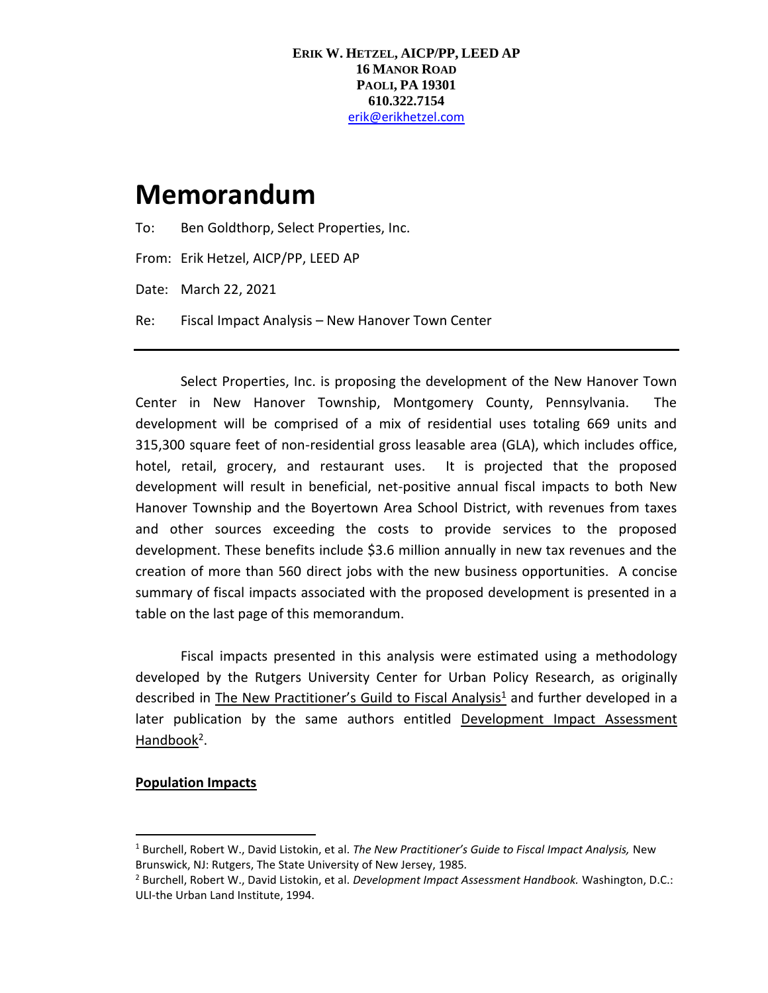# **Memorandum**

To: Ben Goldthorp, Select Properties, Inc.

From: Erik Hetzel, AICP/PP, LEED AP

Date: March 22, 2021

Re: Fiscal Impact Analysis – New Hanover Town Center

Select Properties, Inc. is proposing the development of the New Hanover Town Center in New Hanover Township, Montgomery County, Pennsylvania. The development will be comprised of a mix of residential uses totaling 669 units and 315,300 square feet of non-residential gross leasable area (GLA), which includes office, hotel, retail, grocery, and restaurant uses. It is projected that the proposed development will result in beneficial, net-positive annual fiscal impacts to both New Hanover Township and the Boyertown Area School District, with revenues from taxes and other sources exceeding the costs to provide services to the proposed development. These benefits include \$3.6 million annually in new tax revenues and the creation of more than 560 direct jobs with the new business opportunities. A concise summary of fiscal impacts associated with the proposed development is presented in a table on the last page of this memorandum.

Fiscal impacts presented in this analysis were estimated using a methodology developed by the Rutgers University Center for Urban Policy Research, as originally described in The New Practitioner's Guild to Fiscal Analysis<sup>1</sup> and further developed in a later publication by the same authors entitled Development Impact Assessment Handbook<sup>2</sup>.

# **Population Impacts**

<sup>1</sup> Burchell, Robert W., David Listokin, et al. *The New Practitioner's Guide to Fiscal Impact Analysis,* New Brunswick, NJ: Rutgers, The State University of New Jersey, 1985*.*

<sup>2</sup> Burchell, Robert W., David Listokin, et al. *Development Impact Assessment Handbook.* Washington, D.C.: ULI-the Urban Land Institute, 1994.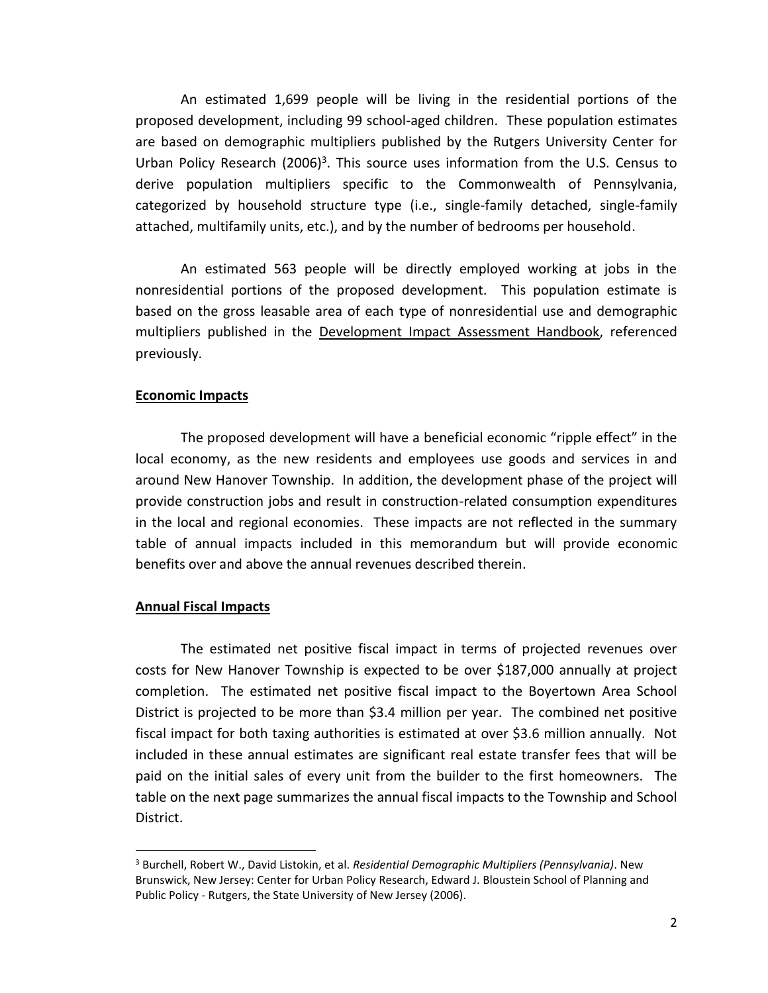An estimated 1,699 people will be living in the residential portions of the proposed development, including 99 school-aged children. These population estimates are based on demographic multipliers published by the Rutgers University Center for Urban Policy Research (2006)<sup>3</sup>. This source uses information from the U.S. Census to derive population multipliers specific to the Commonwealth of Pennsylvania, categorized by household structure type (i.e., single-family detached, single-family attached, multifamily units, etc.), and by the number of bedrooms per household.

An estimated 563 people will be directly employed working at jobs in the nonresidential portions of the proposed development. This population estimate is based on the gross leasable area of each type of nonresidential use and demographic multipliers published in the Development Impact Assessment Handbook, referenced previously.

## **Economic Impacts**

The proposed development will have a beneficial economic "ripple effect" in the local economy, as the new residents and employees use goods and services in and around New Hanover Township. In addition, the development phase of the project will provide construction jobs and result in construction-related consumption expenditures in the local and regional economies. These impacts are not reflected in the summary table of annual impacts included in this memorandum but will provide economic benefits over and above the annual revenues described therein.

### **Annual Fiscal Impacts**

The estimated net positive fiscal impact in terms of projected revenues over costs for New Hanover Township is expected to be over \$187,000 annually at project completion. The estimated net positive fiscal impact to the Boyertown Area School District is projected to be more than \$3.4 million per year. The combined net positive fiscal impact for both taxing authorities is estimated at over \$3.6 million annually. Not included in these annual estimates are significant real estate transfer fees that will be paid on the initial sales of every unit from the builder to the first homeowners. The table on the next page summarizes the annual fiscal impacts to the Township and School District.

<sup>3</sup> Burchell, Robert W., David Listokin, et al. *Residential Demographic Multipliers (Pennsylvania)*. New Brunswick, New Jersey: Center for Urban Policy Research, Edward J. Bloustein School of Planning and Public Policy - Rutgers, the State University of New Jersey (2006).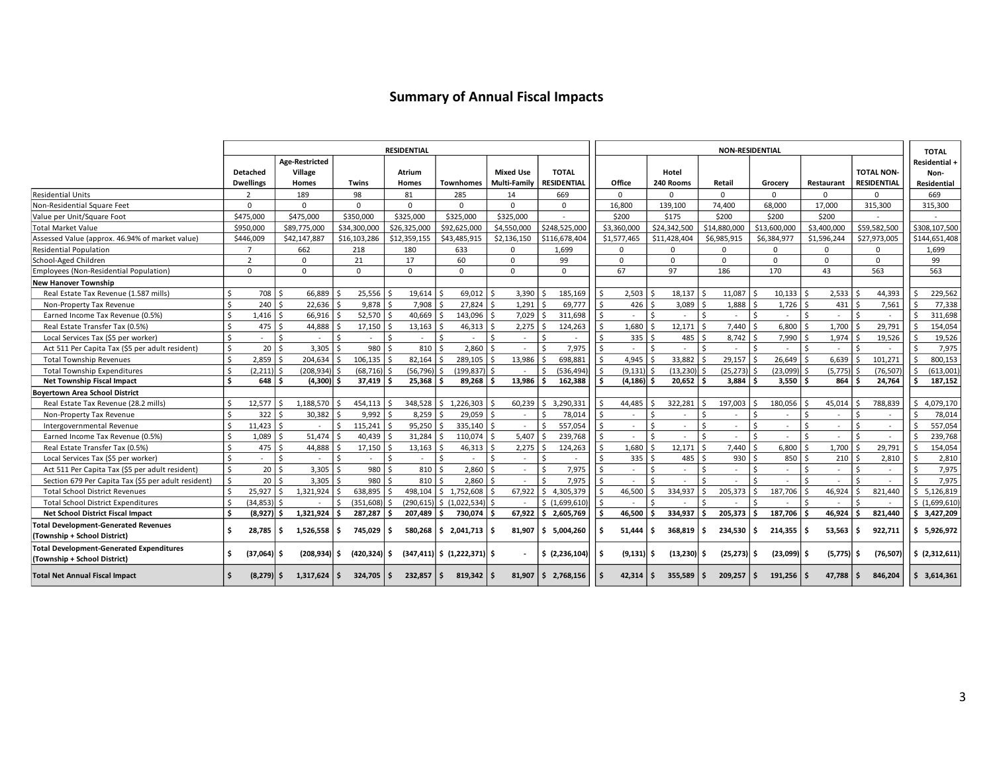# **Summary of Annual Fiscal Impacts**

|                                                                                 | <b>RESIDENTIAL</b> |                  |                                  |                               |     |               |                                    |                     |                    |            |         | <b>NON-RESIDENTIAL</b> |                     |                      |                                  |                        |                      |                    |                                       |  |
|---------------------------------------------------------------------------------|--------------------|------------------|----------------------------------|-------------------------------|-----|---------------|------------------------------------|---------------------|--------------------|------------|---------|------------------------|---------------------|----------------------|----------------------------------|------------------------|----------------------|--------------------|---------------------------------------|--|
|                                                                                 |                    | Detached         | Age-Restricted<br>Village        |                               |     | <b>Atrium</b> |                                    | <b>Mixed Use</b>    | <b>TOTAL</b>       |            |         |                        | Hotel               |                      |                                  |                        |                      | <b>TOTAL NON-</b>  | <b>TOTAL</b><br>Residential +<br>Non- |  |
|                                                                                 |                    | <b>Dwellings</b> | Homes                            | Twins                         |     | Homes         | <b>Townhomes</b>                   | <b>Multi-Family</b> | <b>RESIDENTIAL</b> |            |         | Office                 | 240 Rooms           | Retail               | Grocery                          | Restaurant             |                      | <b>RESIDENTIAL</b> | Residential                           |  |
| <b>Residential Units</b>                                                        |                    | $\overline{2}$   | 189                              | 98                            |     | 81            | 285                                | 14                  | 669                |            |         | $\Omega$               | $\Omega$            | $\Omega$             | $\Omega$                         | $\Omega$               |                      | <sup>n</sup>       | 669                                   |  |
| Non-Residential Square Feet                                                     |                    | $\Omega$         | $\Omega$                         | $\Omega$                      |     | $\mathbf 0$   | $\Omega$                           | $\Omega$            | $\Omega$           |            |         | 16,800                 | 139,100             | 74,400               | 68,000                           | 17,000                 |                      | 315,300            | 315,300                               |  |
| Value per Unit/Square Foot                                                      |                    | \$475,000        | \$475,000                        | \$350,000                     |     | \$325,000     | \$325,000                          | \$325,000           |                    |            |         | \$200                  | \$175               | \$200                | \$200                            | \$200                  |                      |                    |                                       |  |
| <b>Total Market Value</b>                                                       |                    | \$950,000        | \$89,775,000                     | \$34,300,000                  |     | \$26,325,000  | \$92,625,000                       | \$4,550,000         | \$248,525,000      |            |         | \$3,360,000            | \$24,342,500        | \$14,880,000         | \$13,600,000                     | \$3,400,000            |                      | \$59,582,500       | \$308,107,500                         |  |
| Assessed Value (approx. 46.94% of market value)                                 |                    | \$446,009        | \$42,147,887                     | \$16,103,286                  |     | \$12,359,155  | \$43,485,915                       | \$2,136,150         | \$116,678,404      |            |         | \$1,577,465            | \$11,428,404        | \$6,985,915          | \$6,384,977                      | \$1,596,244            |                      | \$27,973,005       | \$144,651,408                         |  |
| <b>Residential Population</b>                                                   |                    | $\overline{7}$   | 662                              | 218                           |     | 180           | 633                                | $\Omega$            | 1.699              |            |         | $\Omega$               | $\Omega$            | $\Omega$             | $\Omega$                         | 0                      |                      | $\Omega$           | 1,699                                 |  |
| School-Aged Children                                                            |                    | $\overline{2}$   | 0                                | 21                            |     | 17            | 60                                 | $\Omega$            | 99                 |            |         | $\Omega$               | $\Omega$            | $\Omega$             | $\Omega$                         | 0                      |                      | $\mathbf 0$        | 99                                    |  |
| Employees (Non-Residential Population)                                          |                    | $\Omega$         | 0                                | $\mathbf 0$                   |     | 0             | $\Omega$                           | $\Omega$            | $\Omega$           |            |         | 67                     | 97                  | 186                  | 170                              | 43                     |                      | 563                | 563                                   |  |
| <b>New Hanover Township</b>                                                     |                    |                  |                                  |                               |     |               |                                    |                     |                    |            |         |                        |                     |                      |                                  |                        |                      |                    |                                       |  |
| Real Estate Tax Revenue (1.587 mills)                                           | Ś.                 | 708              | -Ś<br>66,889                     | 25,556                        |     | 19,614        | 69,012<br>Ś                        | 3,390<br>Š.         |                    | 185,169    |         | 2,503                  | 18,137              | 11,087<br>Ŝ.         | l ś<br>$10,133$ \$               | 2,533                  |                      | 44,393             | 229,562<br>Š.                         |  |
| Non-Property Tax Revenue                                                        |                    | 240              | 22,636<br>$\zeta$                | 9,878                         |     | 7,908         | 27,824<br>\$                       | 1,291               |                    | 69,777     | Ś       | 426                    | 3,089<br>Ś          | $1,888$ \$<br>Ŝ.     | $1,726$ \$                       | 431                    | \$                   | 7,561              | 77,338<br>Ś                           |  |
| Earned Income Tax Revenue (0.5%)                                                |                    | 1,416            | $66,916$ \$<br>- \$              | 52,570                        |     | 40,669        | 143,096<br>\$.                     | 7,029<br>$\zeta$    |                    | 311,698    | $\zeta$ | $\sim$                 | ¢                   | $\hat{\zeta}$        | l s<br>$\sim$                    | l \$<br>$\sim$         | Ŝ.                   | $\sim$             | 311,698<br>¢.                         |  |
| Real Estate Transfer Tax (0.5%)                                                 | ¢                  | 475              | $\zeta$<br>44,888                | 17,150                        |     | 13,163        | 46,313                             | 2,275<br>Š.         |                    | 124,263    |         | 1,680                  | 12,171              | 7,440                | l s<br>$6,800$ \$                | 1,700                  | $\zeta$              | 29,791             | 154,054                               |  |
| Local Services Tax (\$5 per worker)                                             | \$                 |                  | <sup>\$</sup>                    | Ś<br>$\overline{\phantom{a}}$ |     | $\sim$        | \$                                 | $\zeta$             |                    |            |         | 335                    | 485<br>\$           | $8,742$ \$<br>Ŝ.     | $7,990$ \$                       | 1,974                  | Ŝ.                   | 19,526             | 19,526<br>Ś                           |  |
| Act 511 Per Capita Tax (\$5 per adult resident)                                 | \$                 | 20               | Ŝ.<br>$3,305$ \$                 | 980                           | ¢   | 810           | Ŝ.<br>2,860                        | <sup>5</sup>        | <sup>5</sup>       | 7,975      | Ŝ.      | $\omega$               | Ś                   | Ŝ.<br>$\sim$         | l \$<br>$\sim$                   | l \$<br>$\sim$         | $\frac{1}{2}$        |                    | 7,975<br><sup>5</sup>                 |  |
| <b>Total Township Revenues</b>                                                  |                    | 2.859            | 204.634                          | 106.135                       |     | 82.164        | 289.105<br>Ś                       | 13,986<br>$\zeta$   |                    | 698.881    |         | 4.945                  | 33,882              | $29,157$ \$          | $26,649$ \$                      | 6.639                  |                      | 101.271            | 800,153<br>\$                         |  |
| <b>Total Township Expenditures</b>                                              |                    | (2, 211)         | $(208.934)$ \$<br>-Ś             | (68, 716)                     |     | (56, 796)     | (199, 837)<br>Ŝ.                   | ∣ \$                | $\prec$            | (536, 494) |         | (9, 131)               | (13, 230)<br>¢      | $(25, 273)$ \$<br>-Ś | $(23,099)$ \$                    | $(5,775)$ \$           |                      | (76, 507)          | <sup>\$</sup><br>(613,001)            |  |
| <b>Net Township Fiscal Impact</b>                                               | Ś.                 | 648              | $(4,300)$ \$<br>- Ś              | 37.419                        |     | 25.368        | 89,268<br>Ŝ.                       | 13,986<br>Ŝ.        |                    | 162,388    |         | (4, 186)               | 20,652              | $3.884$ S<br>- Ś     | $3.550$ $\vert$ \$               | 864S                   |                      | 24,764             | 187,152<br>Ŝ.                         |  |
| <b>Bovertown Area School District</b>                                           |                    |                  |                                  |                               |     |               |                                    |                     |                    |            |         |                        |                     |                      |                                  |                        |                      |                    |                                       |  |
| Real Estate Tax Revenue (28.2 mills)                                            | Ś.                 | 12,577           | $\hat{\zeta}$<br>1,188,570       | 454,113                       |     | 348,528       | 1,226,303<br>Ŝ.                    | 60,239              | l \$               | 3,290,331  |         | 44,485                 | 322,281<br>¢        | 197,003<br>S.        | 180,056 \$<br>l \$               | 45,014                 |                      | 788,839            | 4,079,170<br>Ś.                       |  |
| Non-Property Tax Revenue                                                        | Ś.                 | 322              | 30,382<br>- \$                   | 9.992                         |     | 8,259         | 29,059<br>\$.                      | Ś.                  |                    | 78,014     | Ŝ.      | $\omega$               | Ś                   | Ŝ.                   | -S                               | Ŝ.                     | Ŝ.                   | $\sim$             | -Ś<br>78,014                          |  |
| Intergovernmental Revenue                                                       |                    | 11,423           | $\hat{\zeta}$<br>$\sim$          | 115,241<br>Ŝ                  |     | 95,250        | 335,140<br>Ś                       | $\zeta$<br>$\sim$   | Ŝ.                 | 557,054    | Ŝ.      | ÷.                     | $\zeta$             | Ŝ.<br>$\overline{a}$ | $\mathsf{S}$                     | l \$                   | \$.                  |                    | 557,054                               |  |
| Earned Income Tax Revenue (0.5%)                                                |                    | 1,089            | 51,474<br>- \$                   | 40,439                        |     | 31,284        | Ś<br>110,074                       | 5,407<br>$\zeta$    |                    | 239,768    | $\zeta$ | $\sim$                 | ¢                   | $\zeta$              | l \$<br>$\overline{\phantom{a}}$ | l s                    | $\mathsf{S}$         | $\sim$             | 239,768<br>$\zeta$                    |  |
| Real Estate Transfer Tax (0.5%)                                                 | \$                 | 475              | 44,888<br>-Ś                     | 17,150<br>.S                  |     | 13,163        | 46,313<br>\$.                      | 2,275<br>Ŝ.         |                    | 124,263    |         | 1,680                  | 12,171              | 7,440<br>$\zeta$     | l s<br>$6,800$ \$                | 1,700                  | $\zeta$              | 29.791             | 154,054                               |  |
| Local Services Tax (\$5 per worker)                                             | Ś.                 |                  | Ŝ.<br>$\sim$                     | Ś<br>$\sim$                   |     | $\sim$        | \$                                 | $\zeta$<br>$\sim$   |                    |            |         | 335                    | 485                 | 930<br>$\zeta$       | 850 \$<br>l ś                    | 210                    | Ś                    | 2,810              | Ś<br>2,810                            |  |
| Act 511 Per Capita Tax (\$5 per adult resident)                                 | \$                 | 20               | $\dot{\mathsf{s}}$<br>$3,305$ \$ | 980                           |     | 810           | $\zeta$<br>2,860                   | $\zeta$<br>$\sim$   | $\mathsf{S}$       | 7,975      | \$.     | $\bar{a}$              | Ś                   | \$                   | l \$<br>$\sim$                   | l \$<br>$\blacksquare$ | \$                   |                    | 7,975<br>\$                           |  |
| Section 679 Per Capita Tax (\$5 per adult resident)                             | \$                 | 20               | $\zeta$<br>$3,305$ \$            | 980                           | ¢   | 810           | Ŝ.<br>2,860                        | $\zeta$             | <sup>\$</sup>      | 7,975      | Ŝ.      | $\sim$                 | ς.                  | Ŝ.                   | Ŝ.                               | Ŝ.                     | Ŝ.                   |                    | 7,975<br>\$                           |  |
| <b>Total School District Revenues</b>                                           | Ś                  | 25,927           | 1,321,924<br>S.                  | 638.895                       |     | 498.104       | 1,752,608<br>Ŝ.                    | 67,922<br>Š.        | l \$               | 4,305,379  |         | 46,500                 | 334,937<br>Ś        | 205,373<br>Ŝ.        | 187,706 \$<br>Ŝ.                 | 46,924                 | Ś.                   | 821,440            | 5,126,819<br>Ŝ.                       |  |
| <b>Total School District Expenditures</b>                                       |                    | (34, 853)        | -Ś                               | (351,608)                     |     | (290, 615)    | \$(1,022,534)                      |                     | \$(1,699,610)      |            |         |                        |                     |                      | ¢                                |                        | $\ddot{\phantom{0}}$ |                    | \$(1,699,610)                         |  |
| <b>Net School District Fiscal Impact</b>                                        |                    | (8,927)          | 1,321,924<br>- Ś                 | 287,287<br>l S                |     | 207,489       | 730,074<br>Ŝ.                      | 67,922<br>.s        | - Ś                | 2,605,769  |         | 46,500                 | 334,937             | 205,373<br>¢.        | 187,706 \$<br>۱s                 | 46,924                 | Ŝ.                   | 821,440            | \$3,427,209                           |  |
| <b>Total Development-Generated Revenues</b><br>(Township + School District)     | Ś.                 | 28,785           | $1,526,558$ $\frac{1}{5}$<br>. Ś | 745.029                       | Ś.  | 580.268       | 2,041,713<br>Ŝ.                    | 81.907<br>۱Ś.       | ١s٠                | 5.004.260  | Ŝ.      | 51,444                 | Ś.<br>368,819       | 234,530<br>- Ś       | $214,355$ $\frac{1}{5}$<br>۱Ś    | 53.563                 | Ś.                   | 922.711            | \$5,926,972                           |  |
| <b>Total Development-Generated Expenditures</b><br>(Township + School District) | \$.                | (37,064)         | (208, 934)<br>- Ś                | $(420, 324)$ \$<br>١s         |     |               | $(347, 411)$ \$ $(1, 222, 371)$ \$ |                     | \$ (2,236,104)     |            |         | (9, 131)               | Ś.<br>$(13,230)$ \$ | $(25, 273)$ \$       | $(23,099)$ \$                    | $(5,775)$ \$           |                      | (76, 507)          | \$ (2,312,611)                        |  |
| <b>Total Net Annual Fiscal Impact</b>                                           |                    | $(8,279)$ \$     | $1,317,624$   \$                 | 324.705                       | l S | 232,857       | Ŝ.<br>819,342                      | ۱Ś.<br>81,907       | l S                | 2,768,156  |         | 42,314                 | 355,589<br>Ŝ.       | 209,257<br>Ŝ.        | $191,256$ \$<br>۱s               | 47.788                 | Ŝ.                   | 846,204            | \$3,614,361                           |  |